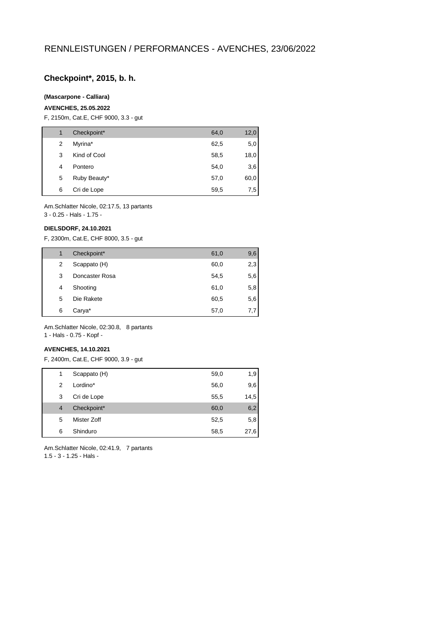## **Checkpoint\*, 2015, b. h.**

### **(Mascarpone - Calliara)**

#### **AVENCHES, 25.05.2022**

F, 2150m, Cat.E, CHF 9000, 3.3 - gut

| 1 | Checkpoint*  | 64,0 | 12,0 |
|---|--------------|------|------|
| 2 | Myrina*      | 62,5 | 5,0  |
| 3 | Kind of Cool | 58,5 | 18,0 |
| 4 | Pontero      | 54,0 | 3,6  |
| 5 | Ruby Beauty* | 57,0 | 60,0 |
| 6 | Cri de Lope  | 59,5 | 7,5  |

Am.Schlatter Nicole, 02:17.5, 13 partants

# 3 - 0.25 - Hals - 1.75 -

## **DIELSDORF, 24.10.2021**

F, 2300m, Cat.E, CHF 8000, 3.5 - gut

| 1 | Checkpoint*    | 61,0 | 9,6 |
|---|----------------|------|-----|
| 2 | Scappato (H)   | 60,0 | 2,3 |
| 3 | Doncaster Rosa | 54,5 | 5,6 |
| 4 | Shooting       | 61,0 | 5,8 |
| 5 | Die Rakete     | 60,5 | 5,6 |
| 6 | Carya*         | 57,0 | 7,7 |

Am.Schlatter Nicole, 02:30.8, 8 partants 1 - Hals - 0.75 - Kopf -

### **AVENCHES, 14.10.2021**

F, 2400m, Cat.E, CHF 9000, 3.9 - gut

| 1              | Scappato (H) | 59,0 | 1,9  |
|----------------|--------------|------|------|
| 2              | Lordino*     | 56,0 | 9,6  |
| 3              | Cri de Lope  | 55,5 | 14,5 |
| $\overline{4}$ | Checkpoint*  | 60,0 | 6,2  |
| 5              | Mister Zoff  | 52,5 | 5,8  |
| 6              | Shinduro     | 58,5 | 27,6 |
|                |              |      |      |

Am.Schlatter Nicole, 02:41.9, 7 partants 1.5 - 3 - 1.25 - Hals -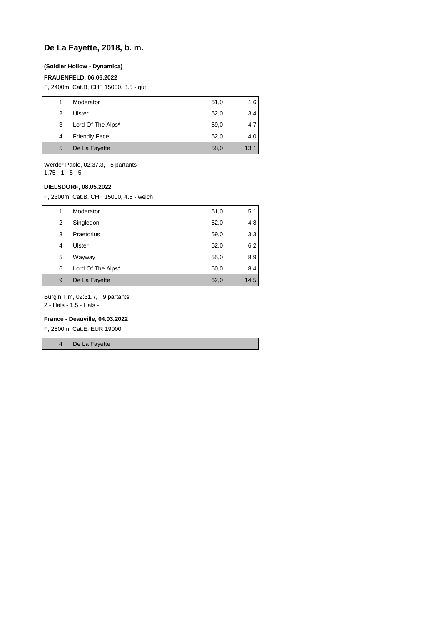## **De La Fayette, 2018, b. m.**

### **(Soldier Hollow - Dynamica)**

### **FRAUENFELD, 06.06.2022**

F, 2400m, Cat.B, CHF 15000, 3.5 - gut

|   | Moderator            | 61,0 | 1.6  |
|---|----------------------|------|------|
| 2 | Ulster               | 62,0 | 3,4  |
| 3 | Lord Of The Alps*    | 59,0 | 4,7  |
| 4 | <b>Friendly Face</b> | 62,0 | 4,0  |
| 5 | De La Fayette        | 58,0 | 13,1 |
|   |                      |      |      |

Werder Pablo, 02:37.3, 5 partants 1.75 - 1 - 5 - 5

**DIELSDORF, 08.05.2022**

F, 2300m, Cat.B, CHF 15000, 4.5 - weich

| 1 | Moderator         | 61,0 | 5,1  |
|---|-------------------|------|------|
| 2 | Singledon         | 62,0 | 4,8  |
| 3 | Praetorius        | 59,0 | 3,3  |
| 4 | Ulster            | 62,0 | 6,2  |
| 5 | Wayway            | 55,0 | 8,9  |
| 6 | Lord Of The Alps* | 60,0 | 8,4  |
| 9 | De La Fayette     | 62,0 | 14,5 |

Bürgin Tim, 02:31.7, 9 partants

2 - Hals - 1.5 - Hals -

### **France - Deauville, 04.03.2022**

F, 2500m, Cat.E, EUR 19000

4 De La Fayette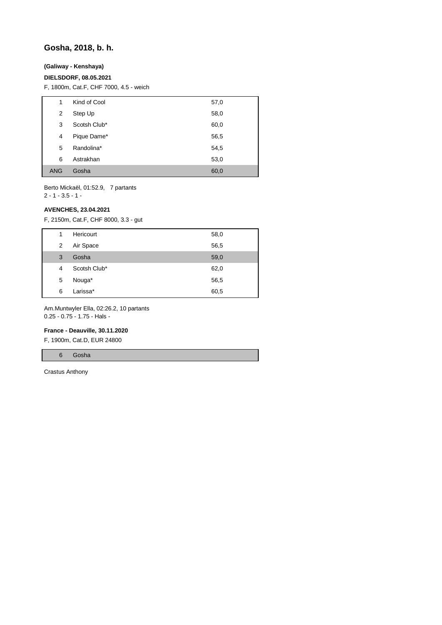## **Gosha, 2018, b. h.**

### **(Galiway - Kenshaya)**

### **DIELSDORF, 08.05.2021**

F, 1800m, Cat.F, CHF 7000, 4.5 - weich

| 1          | Kind of Cool | 57,0 |
|------------|--------------|------|
| 2          | Step Up      | 58,0 |
| 3          | Scotsh Club* | 60,0 |
| 4          | Pique Dame*  | 56,5 |
| 5          | Randolina*   | 54,5 |
| 6          | Astrakhan    | 53,0 |
| <b>ANG</b> | Gosha        | 60,0 |

Berto Mickaël, 01:52.9, 7 partants

2 - 1 - 3.5 - 1 -

## **AVENCHES, 23.04.2021**

F, 2150m, Cat.F, CHF 8000, 3.3 - gut

| 1 | Hericourt    | 58,0 |
|---|--------------|------|
| 2 | Air Space    | 56,5 |
| 3 | Gosha        | 59,0 |
| 4 | Scotsh Club* | 62,0 |
| 5 | Nouga*       | 56,5 |
| 6 | Larissa*     | 60,5 |
|   |              |      |

Am.Muntwyler Ella, 02:26.2, 10 partants 0.25 - 0.75 - 1.75 - Hals -

#### **France - Deauville, 30.11.2020**

F, 1900m, Cat.D, EUR 24800

6 Gosha

Crastus Anthony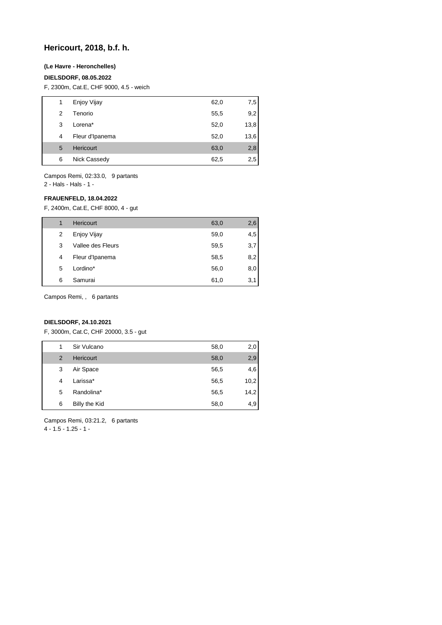## **Hericourt, 2018, b.f. h.**

### **(Le Havre - Heronchelles)**

### **DIELSDORF, 08.05.2022**

F, 2300m, Cat.E, CHF 9000, 4.5 - weich

| 1 | Enjoy Vijay     | 62,0 | 7,5  |
|---|-----------------|------|------|
| 2 | Tenorio         | 55,5 | 9,2  |
| 3 | Lorena*         | 52,0 | 13,8 |
| 4 | Fleur d'Ipanema | 52,0 | 13,6 |
| 5 | Hericourt       | 63,0 | 2,8  |
| 6 | Nick Cassedy    | 62,5 | 2,5  |

Campos Remi, 02:33.0, 9 partants 2 - Hals - Hals - 1 -

## **FRAUENFELD, 18.04.2022**

F, 2400m, Cat.E, CHF 8000, 4 - gut

| 1 | <b>Hericourt</b>  | 63,0 | 2,6 |
|---|-------------------|------|-----|
| 2 | Enjoy Vijay       | 59,0 | 4,5 |
| 3 | Vallee des Fleurs | 59,5 | 3,7 |
| 4 | Fleur d'Ipanema   | 58,5 | 8,2 |
| 5 | Lordino*          | 56,0 | 8,0 |
| 6 | Samurai           | 61,0 | 3,1 |

Campos Remi, , 6 partants

## **DIELSDORF, 24.10.2021**

F, 3000m, Cat.C, CHF 20000, 3.5 - gut

| 1              | Sir Vulcano   | 58,0 | 2,0  |
|----------------|---------------|------|------|
| $\overline{2}$ | Hericourt     | 58,0 | 2,9  |
| 3              | Air Space     | 56,5 | 4,6  |
| 4              | Larissa*      | 56,5 | 10,2 |
| 5              | Randolina*    | 56,5 | 14,2 |
| 6              | Billy the Kid | 58,0 | 4,9  |

Campos Remi, 03:21.2, 6 partants 4 - 1.5 - 1.25 - 1 -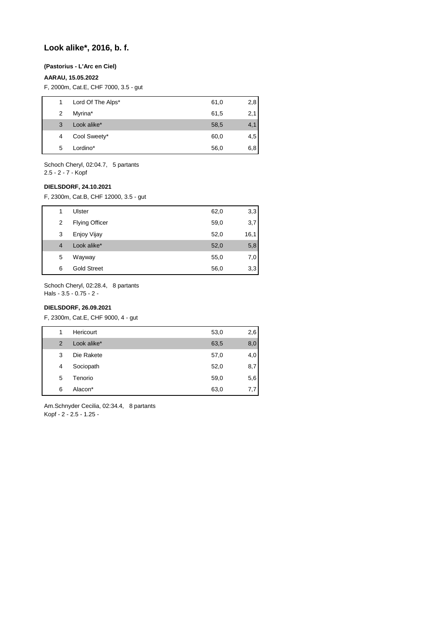## **Look alike\*, 2016, b. f.**

### **(Pastorius - L'Arc en Ciel)**

## **AARAU, 15.05.2022**

F, 2000m, Cat.E, CHF 7000, 3.5 - gut

| 1. | Lord Of The Alps* | 61,0 | 2,8 |
|----|-------------------|------|-----|
| 2  | Myrina*           | 61,5 | 2,1 |
| 3  | Look alike*       | 58,5 | 4,1 |
| 4  | Cool Sweety*      | 60,0 | 4,5 |
| 5  | Lordino*          | 56,0 | 6,8 |
|    |                   |      |     |

Schoch Cheryl, 02:04.7, 5 partants 2.5 - 2 - 7 - Kopf

### **DIELSDORF, 24.10.2021**

F, 2300m, Cat.B, CHF 12000, 3.5 - gut

| 1 | Ulster                | 62,0 | 3,3  |
|---|-----------------------|------|------|
| 2 | <b>Flying Officer</b> | 59,0 | 3,7  |
| 3 | Enjoy Vijay           | 52,0 | 16,1 |
| 4 | Look alike*           | 52,0 | 5,8  |
| 5 | Wayway                | 55,0 | 7,0  |
| 6 | <b>Gold Street</b>    | 56,0 | 3,3  |

Schoch Cheryl, 02:28.4, 8 partants Hals - 3.5 - 0.75 - 2 -

## **DIELSDORF, 26.09.2021**

F, 2300m, Cat.E, CHF 9000, 4 - gut

| 1              | Hericourt   | 53,0 | 2,6 |
|----------------|-------------|------|-----|
| $\overline{2}$ | Look alike* | 63,5 | 8,0 |
| 3              | Die Rakete  | 57,0 | 4,0 |
| 4              | Sociopath   | 52,0 | 8,7 |
| 5              | Tenorio     | 59,0 | 5,6 |
| 6              | Alacon*     | 63,0 | 7,7 |

Am.Schnyder Cecilia, 02:34.4, 8 partants Kopf - 2 - 2.5 - 1.25 -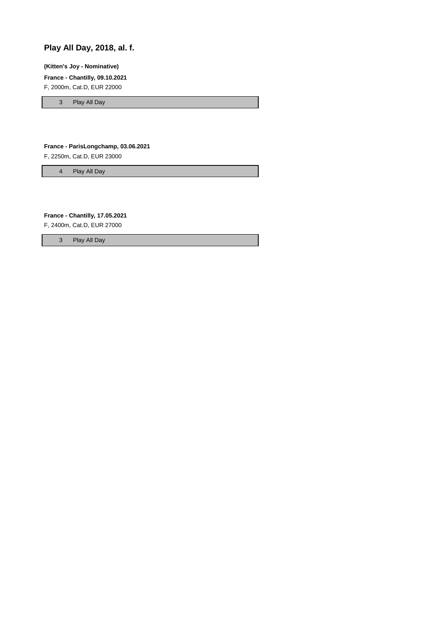# **Play All Day, 2018, al. f.**

**(Kitten's Joy - Nominative)**

**France - Chantilly, 09.10.2021**

F, 2000m, Cat.D, EUR 22000

3 Play All Day

### **France - ParisLongchamp, 03.06.2021**

F, 2250m, Cat.D, EUR 23000

4 Play All Day

**France - Chantilly, 17.05.2021**

F, 2400m, Cat.D, EUR 27000

3 Play All Day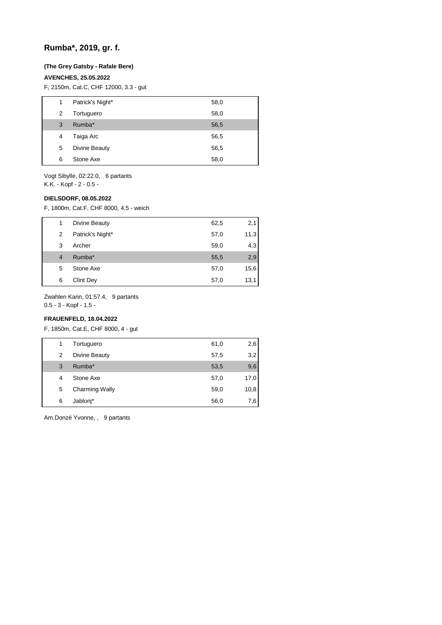## **Rumba\*, 2019, gr. f.**

### **(The Grey Gatsby - Rafale Bere)**

### **AVENCHES, 25.05.2022**

F, 2150m, Cat.C, CHF 12000, 3.3 - gut

| 1 | Patrick's Night* | 58,0 |
|---|------------------|------|
| 2 | Tortuguero       | 58,0 |
| 3 | Rumba*           | 56,5 |
| 4 | Taiga Arc        | 56,5 |
| 5 | Divine Beauty    | 56,5 |
| 6 | Stone Axe        | 58,0 |
|   |                  |      |

Vogt Sibylle, 02:22.0, 6 partants K.K. - Kopf - 2 - 0.5 -

### **DIELSDORF, 08.05.2022**

F, 1800m, Cat.F, CHF 8000, 4.5 - weich

| 1              | Divine Beauty    | 62,5 | 2,1  |
|----------------|------------------|------|------|
| 2              | Patrick's Night* | 57,0 | 11,3 |
| 3              | Archer           | 59,0 | 4,3  |
| $\overline{4}$ | Rumba*           | 55,5 | 2,9  |
| 5              | Stone Axe        | 57,0 | 15,6 |
| 6              | <b>Clint Dey</b> | 57,0 | 13,1 |

Zwahlen Karin, 01:57.4, 9 partants

0.5 - 3 - Kopf - 1.5 -

## **FRAUENFELD, 18.04.2022**

F, 1850m, Cat.E, CHF 8000, 4 - gut

| 1 | Tortuguero            | 61,0 | 2,6  |
|---|-----------------------|------|------|
| 2 | Divine Beauty         | 57,5 | 3,2  |
| 3 | Rumba*                | 53,5 | 9,6  |
| 4 | Stone Axe             | 57,0 | 17,0 |
| 5 | <b>Charming Wally</b> | 59,0 | 10,8 |
| 6 | Jablonj*              | 56,0 | 7.6  |

Am.Donzé Yvonne, , 9 partants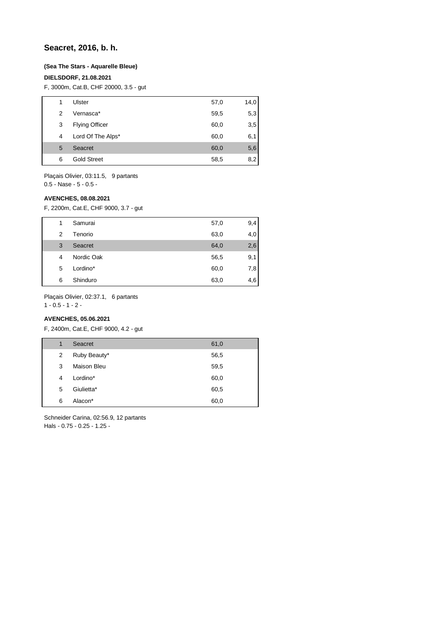## **Seacret, 2016, b. h.**

### **(Sea The Stars - Aquarelle Bleue)**

### **DIELSDORF, 21.08.2021**

F, 3000m, Cat.B, CHF 20000, 3.5 - gut

| Ulster<br>57,0<br>1<br>59,5<br>Vernasca*<br>2 |  |      |
|-----------------------------------------------|--|------|
|                                               |  | 14,0 |
|                                               |  | 5,3  |
| <b>Flying Officer</b><br>60,0<br>3            |  | 3,5  |
| Lord Of The Alps*<br>60,0<br>4                |  | 6,1  |
| 5<br>Seacret<br>60,0                          |  | 5,6  |
| <b>Gold Street</b><br>58,5<br>6               |  | 8,2  |

Plaçais Olivier, 03:11.5, 9 partants 0.5 - Nase - 5 - 0.5 -

#### **AVENCHES, 08.08.2021**

F, 2200m, Cat.E, CHF 9000, 3.7 - gut

| 1 | Samurai    | 57,0 | 9,4 |
|---|------------|------|-----|
| 2 | Tenorio    | 63,0 | 4,0 |
| 3 | Seacret    | 64,0 | 2,6 |
| 4 | Nordic Oak | 56,5 | 9,1 |
| 5 | Lordino*   | 60,0 | 7,8 |
| 6 | Shinduro   | 63,0 | 4,6 |

Plaçais Olivier, 02:37.1, 6 partants

 $1 - 0.5 - 1 - 2$ 

## **AVENCHES, 05.06.2021**

F, 2400m, Cat.E, CHF 9000, 4.2 - gut

| 1 | Seacret            | 61,0 |
|---|--------------------|------|
| 2 | Ruby Beauty*       | 56,5 |
| 3 | <b>Maison Bleu</b> | 59,5 |
| 4 | Lordino*           | 60,0 |
| 5 | Giulietta*         | 60,5 |
| 6 | Alacon*            | 60,0 |

Schneider Carina, 02:56.9, 12 partants Hals - 0.75 - 0.25 - 1.25 -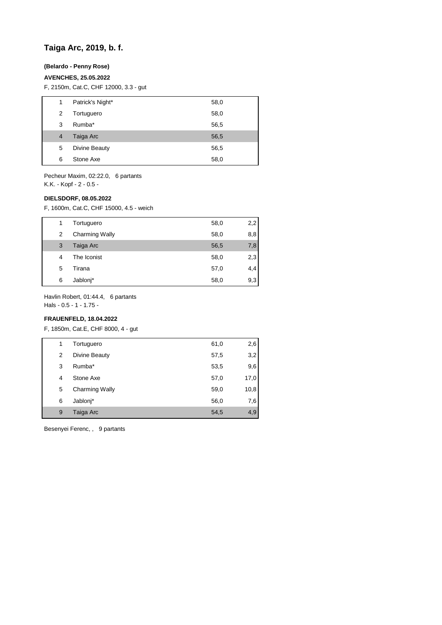## **Taiga Arc, 2019, b. f.**

## **(Belardo - Penny Rose)**

### **AVENCHES, 25.05.2022**

F, 2150m, Cat.C, CHF 12000, 3.3 - gut

| 1              | Patrick's Night* | 58,0 |
|----------------|------------------|------|
| 2              | Tortuguero       | 58,0 |
| 3              | Rumba*           | 56,5 |
| $\overline{4}$ | Taiga Arc        | 56,5 |
| 5              | Divine Beauty    | 56,5 |
| 6              | Stone Axe        | 58,0 |
|                |                  |      |

Pecheur Maxim, 02:22.0, 6 partants K.K. - Kopf - 2 - 0.5 -

### **DIELSDORF, 08.05.2022**

F, 1600m, Cat.C, CHF 15000, 4.5 - weich

| 1 | Tortuguero     | 58,0 | 2,2 |
|---|----------------|------|-----|
| 2 | Charming Wally | 58,0 | 8,8 |
| 3 | Taiga Arc      | 56,5 | 7,8 |
| 4 | The Iconist    | 58,0 | 2,3 |
| 5 | Tirana         | 57,0 | 4,4 |
| 6 | Jablonj*       | 58,0 | 9,3 |

Havlin Robert, 01:44.4, 6 partants

Hals - 0.5 - 1 - 1.75 -

## **FRAUENFELD, 18.04.2022**

F, 1850m, Cat.E, CHF 8000, 4 - gut

| 1 | Tortuguero            | 61,0 | 2,6  |
|---|-----------------------|------|------|
| 2 | Divine Beauty         | 57,5 | 3,2  |
| 3 | Rumba*                | 53,5 | 9,6  |
| 4 | Stone Axe             | 57,0 | 17,0 |
| 5 | <b>Charming Wally</b> | 59,0 | 10,8 |
| 6 | Jablonj*              | 56,0 | 7,6  |
| 9 | Taiga Arc             | 54,5 | 4,9  |
|   |                       |      |      |

Besenyei Ferenc, , 9 partants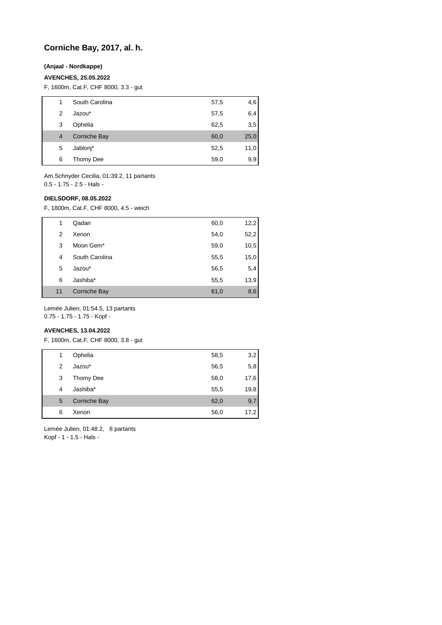## **Corniche Bay, 2017, al. h.**

## **(Anjaal - Nordkappe)**

### **AVENCHES, 25.05.2022**

F, 1600m, Cat.F, CHF 8000, 3.3 - gut

| 1 | South Carolina | 57,5 | 4,6  |
|---|----------------|------|------|
| 2 | Jazou*         | 57,5 | 6,4  |
| 3 | Ophelia        | 62,5 | 3.5  |
| 4 | Corniche Bay   | 60,0 | 25,0 |
| 5 | Jablonj*       | 52,5 | 11,0 |
| 6 | Thomy Dee      | 59,0 | 9,9  |

Am.Schnyder Cecilia, 01:39.2, 11 partants 0.5 - 1.75 - 2.5 - Hals -

### **DIELSDORF, 08.05.2022**

F, 1800m, Cat.F, CHF 8000, 4.5 - weich

| 1  | Qadan          | 60,0 | 12,2 |
|----|----------------|------|------|
|    |                |      |      |
| 2  | Xenon          | 54,0 | 52,2 |
| 3  | Moon Gem*      | 59,0 | 10,5 |
| 4  | South Carolina | 55,5 | 15,0 |
| 5  | Jazou*         | 56,5 | 5,4  |
| 6  | Jashiba*       | 55,5 | 13,9 |
| 11 | Corniche Bay   | 61,0 | 8,6  |

Lemée Julien, 01:54.5, 13 partants

0.75 - 1.75 - 1.75 - Kopf -

## **AVENCHES, 13.04.2022**

F, 1600m, Cat.F, CHF 8000, 3.8 - gut

| 1 | Ophelia             | 58,5 | 3,2  |
|---|---------------------|------|------|
| 2 | Jazou*              | 56,5 | 5,8  |
| 3 | Thomy Dee           | 58,0 | 17,6 |
| 4 | Jashiba*            | 55,5 | 19,8 |
| 5 | <b>Corniche Bay</b> | 62,0 | 9,7  |
| 6 | Xenon               | 56,0 | 17,2 |
|   |                     |      |      |

Lemée Julien, 01:48.2, 8 partants Kopf - 1 - 1.5 - Hals -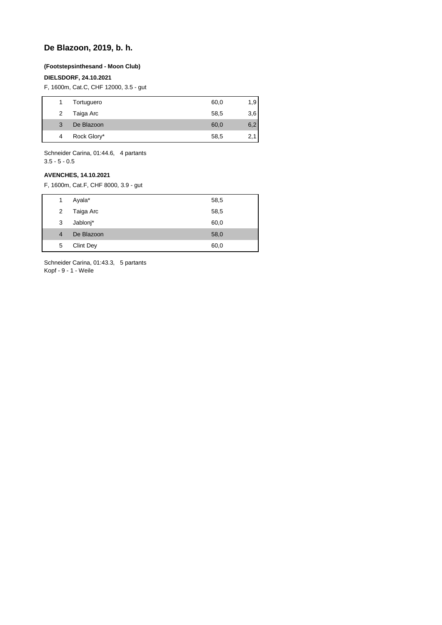# **De Blazoon, 2019, b. h.**

## **(Footstepsinthesand - Moon Club)**

### **DIELSDORF, 24.10.2021**

F, 1600m, Cat.C, CHF 12000, 3.5 - gut

|   | Tortuguero  | 60,0 | 1,9 |
|---|-------------|------|-----|
| 2 | Taiga Arc   | 58,5 | 3,6 |
| 3 | De Blazoon  | 60,0 | 6,2 |
| 4 | Rock Glory* | 58,5 | 2,1 |
|   |             |      |     |

Schneider Carina, 01:44.6, 4 partants 3.5 - 5 - 0.5

### **AVENCHES, 14.10.2021**

F, 1600m, Cat.F, CHF 8000, 3.9 - gut

| 1            | Ayala*           | 58,5 |
|--------------|------------------|------|
| $\mathbf{2}$ | Taiga Arc        | 58,5 |
| 3            | Jablonj*         | 60,0 |
| 4            | De Blazoon       | 58,0 |
| 5            | <b>Clint Dey</b> | 60,0 |
|              |                  |      |

Schneider Carina, 01:43.3, 5 partants Kopf - 9 - 1 - Weile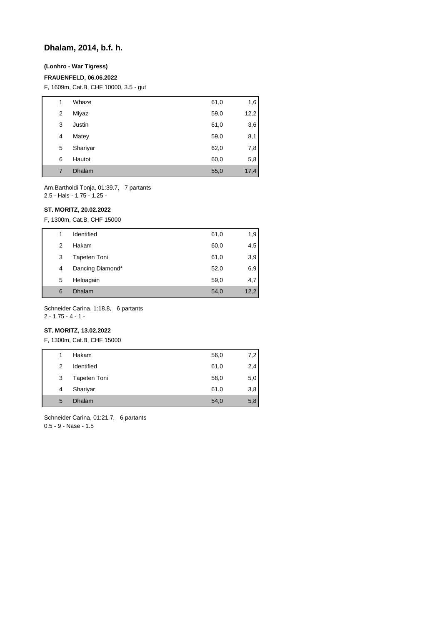## **Dhalam, 2014, b.f. h.**

## **(Lonhro - War Tigress)**

### **FRAUENFELD, 06.06.2022**

F, 1609m, Cat.B, CHF 10000, 3.5 - gut

| 1 | Whaze         | 61,0 | 1,6  |
|---|---------------|------|------|
| 2 | Miyaz         | 59,0 | 12,2 |
| 3 | Justin        | 61,0 | 3,6  |
| 4 | Matey         | 59,0 | 8,1  |
| 5 | Shariyar      | 62,0 | 7,8  |
| 6 | Hautot        | 60,0 | 5,8  |
| 7 | <b>Dhalam</b> | 55,0 | 17,4 |

Am.Bartholdi Tonja, 01:39.7, 7 partants 2.5 - Hals - 1.75 - 1.25 -

### **ST. MORITZ, 20.02.2022**

F, 1300m, Cat.B, CHF 15000

| 1 | Identified          | 61,0 | 1,9  |
|---|---------------------|------|------|
| 2 | Hakam               | 60,0 | 4,5  |
| 3 | <b>Tapeten Toni</b> | 61,0 | 3,9  |
| 4 | Dancing Diamond*    | 52,0 | 6,9  |
| 5 | Heloagain           | 59,0 | 4,7  |
| 6 | Dhalam              | 54,0 | 12,2 |

Schneider Carina, 1:18.8, 6 partants

 $2 - 1.75 - 4 - 1 -$ 

## **ST. MORITZ, 13.02.2022**

F, 1300m, Cat.B, CHF 15000

| 1 | Hakam         | 56,0 | 7,2 |
|---|---------------|------|-----|
| 2 | Identified    | 61,0 | 2,4 |
| 3 | Tapeten Toni  | 58,0 | 5,0 |
| 4 | Shariyar      | 61,0 | 3,8 |
| 5 | <b>Dhalam</b> | 54,0 | 5,8 |

Schneider Carina, 01:21.7, 6 partants 0.5 - 9 - Nase - 1.5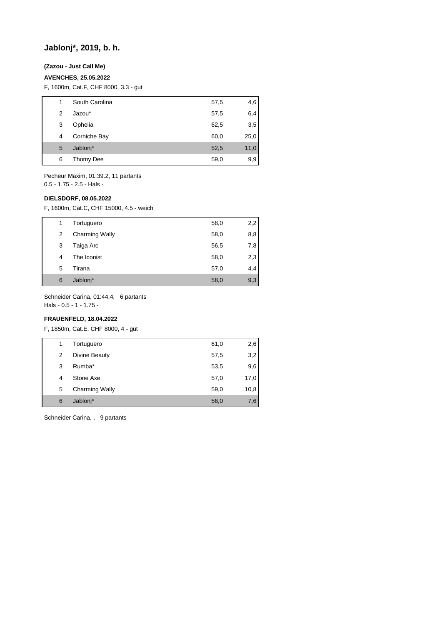## **Jablonj\*, 2019, b. h.**

## **(Zazou - Just Call Me)**

### **AVENCHES, 25.05.2022**

F, 1600m, Cat.F, CHF 8000, 3.3 - gut

| 1 | South Carolina | 57,5 | 4,6  |
|---|----------------|------|------|
| 2 | Jazou*         | 57,5 | 6,4  |
| 3 | Ophelia        | 62,5 | 3,5  |
| 4 | Corniche Bay   | 60,0 | 25,0 |
| 5 | Jablonj*       | 52,5 | 11,0 |
| 6 | Thomy Dee      | 59,0 | 9,9  |

Pecheur Maxim, 01:39.2, 11 partants 0.5 - 1.75 - 2.5 - Hals -

#### **DIELSDORF, 08.05.2022**

F, 1600m, Cat.C, CHF 15000, 4.5 - weich

| 1 | Tortuguero            | 58,0 | 2,2 |
|---|-----------------------|------|-----|
| 2 | <b>Charming Wally</b> | 58,0 | 8,8 |
| 3 | Taiga Arc             | 56,5 | 7,8 |
| 4 | The Iconist           | 58,0 | 2,3 |
| 5 | Tirana                | 57,0 | 4,4 |
| 6 | Jablonj*              | 58,0 | 9,3 |

Schneider Carina, 01:44.4, 6 partants

Hals - 0.5 - 1 - 1.75 -

## **FRAUENFELD, 18.04.2022**

F, 1850m, Cat.E, CHF 8000, 4 - gut

| 1 | Tortuguero            | 61,0 | 2,6  |
|---|-----------------------|------|------|
| 2 | Divine Beauty         | 57,5 | 3,2  |
| 3 | Rumba*                | 53,5 | 9,6  |
| 4 | Stone Axe             | 57,0 | 17,0 |
| 5 | <b>Charming Wally</b> | 59,0 | 10,8 |
| 6 | Jablonj*              | 56,0 | 7,6  |

Schneider Carina, , 9 partants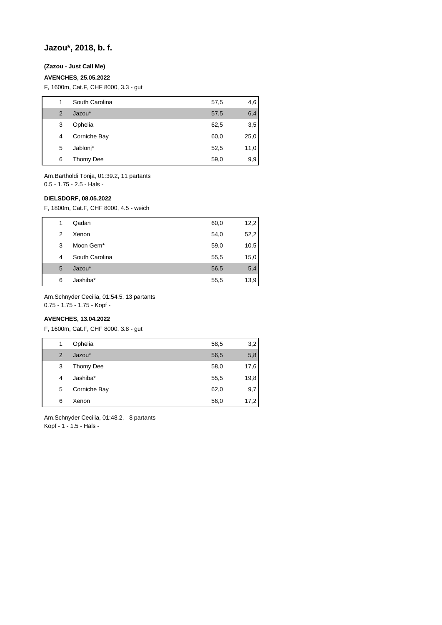## **Jazou\*, 2018, b. f.**

## **(Zazou - Just Call Me)**

### **AVENCHES, 25.05.2022**

F, 1600m, Cat.F, CHF 8000, 3.3 - gut

| 1 | South Carolina | 57,5 | 4,6  |
|---|----------------|------|------|
| 2 | Jazou*         | 57,5 | 6,4  |
| 3 | Ophelia        | 62,5 | 3,5  |
| 4 | Corniche Bay   | 60,0 | 25,0 |
| 5 | Jablonj*       | 52,5 | 11,0 |
| 6 | Thomy Dee      | 59,0 | 9,9  |

Am.Bartholdi Tonja, 01:39.2, 11 partants 0.5 - 1.75 - 2.5 - Hals -

### **DIELSDORF, 08.05.2022**

F, 1800m, Cat.F, CHF 8000, 4.5 - weich

|   | Qadan          | 60,0 | 12,2 |
|---|----------------|------|------|
| 2 | Xenon          | 54,0 | 52,2 |
| 3 | Moon Gem*      | 59,0 | 10,5 |
| 4 | South Carolina | 55,5 | 15,0 |
| 5 | Jazou*         | 56,5 | 5,4  |
| 6 | Jashiba*       | 55,5 | 13,9 |

Am.Schnyder Cecilia, 01:54.5, 13 partants

0.75 - 1.75 - 1.75 - Kopf -

## **AVENCHES, 13.04.2022**

F, 1600m, Cat.F, CHF 8000, 3.8 - gut

| 1              | Ophelia      | 58,5 | 3,2  |
|----------------|--------------|------|------|
| $\overline{2}$ | Jazou*       | 56,5 | 5,8  |
| 3              | Thomy Dee    | 58,0 | 17,6 |
| 4              | Jashiba*     | 55,5 | 19,8 |
| 5              | Corniche Bay | 62,0 | 9,7  |
| 6              | Xenon        | 56,0 | 17,2 |

Am.Schnyder Cecilia, 01:48.2, 8 partants Kopf - 1 - 1.5 - Hals -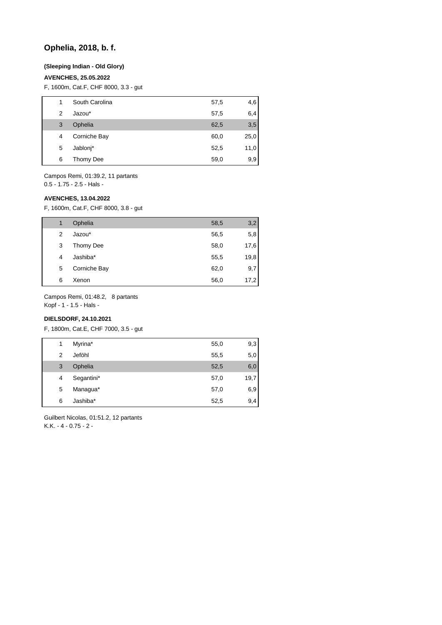## **Ophelia, 2018, b. f.**

### **(Sleeping Indian - Old Glory)**

### **AVENCHES, 25.05.2022**

F, 1600m, Cat.F, CHF 8000, 3.3 - gut

| 1 | South Carolina | 57,5 | 4,6  |
|---|----------------|------|------|
| 2 | Jazou*         | 57,5 | 6,4  |
| 3 | Ophelia        | 62,5 | 3,5  |
| 4 | Corniche Bay   | 60,0 | 25,0 |
| 5 | Jablonj*       | 52,5 | 11,0 |
| 6 | Thomy Dee      | 59,0 | 9,9  |

Campos Remi, 01:39.2, 11 partants 0.5 - 1.75 - 2.5 - Hals -

### **AVENCHES, 13.04.2022**

F, 1600m, Cat.F, CHF 8000, 3.8 - gut

| 1 | Ophelia      | 58,5 | 3,2  |
|---|--------------|------|------|
| 2 | Jazou*       | 56,5 | 5,8  |
| 3 | Thomy Dee    | 58,0 | 17,6 |
| 4 | Jashiba*     | 55,5 | 19,8 |
| 5 | Corniche Bay | 62,0 | 9,7  |
| 6 | Xenon        | 56,0 | 17,2 |

Campos Remi, 01:48.2, 8 partants

Kopf - 1 - 1.5 - Hals -

## **DIELSDORF, 24.10.2021**

F, 1800m, Cat.E, CHF 7000, 3.5 - gut

| 1              | Myrina*    | 55,0 | 9,3  |
|----------------|------------|------|------|
| $\overline{2}$ | Jeföhl     | 55,5 | 5,0  |
| 3              | Ophelia    | 52,5 | 6,0  |
| 4              | Segantini* | 57,0 | 19,7 |
| 5              | Managua*   | 57,0 | 6,9  |
| 6              | Jashiba*   | 52,5 | 9,4  |
|                |            |      |      |

Guilbert Nicolas, 01:51.2, 12 partants K.K. - 4 - 0.75 - 2 -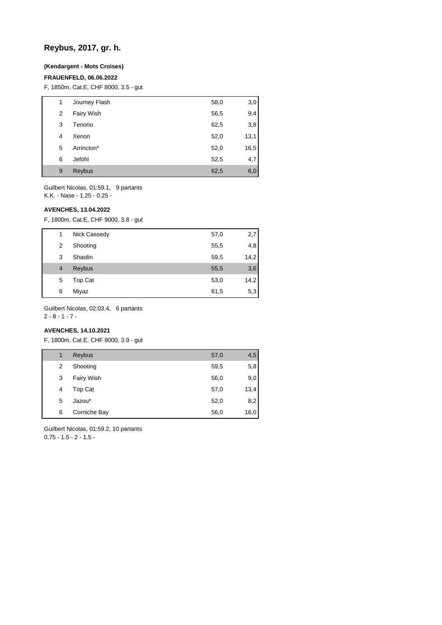# **Reybus, 2017, gr. h.**

## **(Kendargent - Mots Croises)**

### **FRAUENFELD, 06.06.2022**

F, 1850m, Cat.E, CHF 8000, 3.5 - gut

| 1 | Journey Flash | 58,0 | 3,0  |
|---|---------------|------|------|
| 2 | Fairy Wish    | 56,5 | 9,4  |
| 3 | Tenorio       | 62,5 | 3,8  |
| 4 | Xenon         | 52,0 | 13,1 |
| 5 | Arrincton*    | 52,0 | 16,5 |
| 6 | Jeföhl        | 52,5 | 4,7  |
| 9 | Reybus        | 62,5 | 6,0  |

Guilbert Nicolas, 01:59.1, 9 partants K.K. - Nase - 1.25 - 0.25 -

#### **AVENCHES, 13.04.2022**

F, 1800m, Cat.E, CHF 9000, 3.8 - gut

| 1              | Nick Cassedy | 57,0 | 2,7  |
|----------------|--------------|------|------|
| 2              | Shooting     | 55,5 | 4,8  |
| 3              | Shaolin      | 59,5 | 14,2 |
| $\overline{4}$ | Reybus       | 55,5 | 3,6  |
| 5              | Top Cat      | 53,0 | 14,2 |
| 6              | Miyaz        | 61,5 | 5,3  |

Guilbert Nicolas, 02:03.4, 6 partants

## 2 - 8 - 1 - 7 -

## **AVENCHES, 14.10.2021**

F, 1800m, Cat.E, CHF 9000, 3.9 - gut

| 1 | Reybus       | 57,0 | 4,5  |
|---|--------------|------|------|
| 2 | Shooting     | 59,5 | 5,8  |
| 3 | Fairy Wish   | 56,0 | 9,0  |
| 4 | Top Cat      | 57,0 | 13,4 |
| 5 | Jazou*       | 52,0 | 8,2  |
| 6 | Corniche Bay | 56,0 | 16,0 |

Guilbert Nicolas, 01:59.2, 10 partants  $0.75 - 1.5 - 2 - 1.5 -$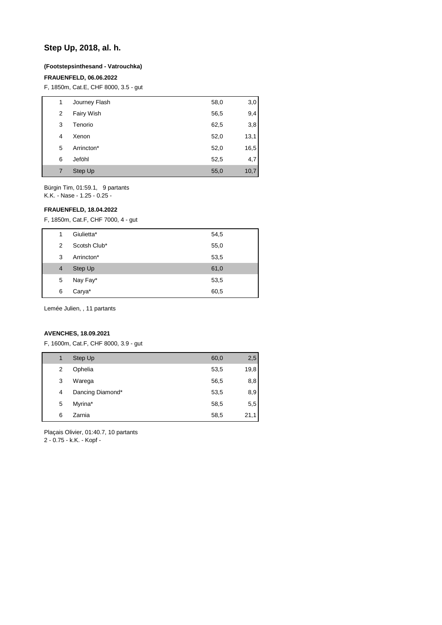## **Step Up, 2018, al. h.**

### **(Footstepsinthesand - Vatrouchka)**

### **FRAUENFELD, 06.06.2022**

F, 1850m, Cat.E, CHF 8000, 3.5 - gut

| 1 | Journey Flash | 58,0 | 3,0  |
|---|---------------|------|------|
| 2 | Fairy Wish    | 56,5 | 9,4  |
| 3 | Tenorio       | 62,5 | 3,8  |
| 4 | Xenon         | 52,0 | 13,1 |
| 5 | Arrincton*    | 52,0 | 16,5 |
| 6 | Jeföhl        | 52,5 | 4,7  |
| 7 | Step Up       | 55,0 | 10,7 |

Bürgin Tim, 01:59.1, 9 partants K.K. - Nase - 1.25 - 0.25 -

## **FRAUENFELD, 18.04.2022**

F, 1850m, Cat.F, CHF 7000, 4 - gut

| 1 | Giulietta*   | 54,5 |
|---|--------------|------|
| 2 | Scotsh Club* | 55,0 |
| 3 | Arrincton*   | 53,5 |
| 4 | Step Up      | 61,0 |
| 5 | Nay Fay*     | 53,5 |
| 6 | Carya*       | 60,5 |
|   |              |      |

Lemée Julien, , 11 partants

### **AVENCHES, 18.09.2021**

F, 1600m, Cat.F, CHF 8000, 3.9 - gut

| 1 | Step Up          | 60,0 | 2,5  |
|---|------------------|------|------|
| 2 | Ophelia          | 53,5 | 19,8 |
| 3 | Warega           | 56,5 | 8,8  |
| 4 | Dancing Diamond* | 53,5 | 8,9  |
| 5 | Myrina*          | 58,5 | 5,5  |
| 6 | Zarnia           | 58,5 | 21,1 |
|   |                  |      |      |

Plaçais Olivier, 01:40.7, 10 partants

2 - 0.75 - k.K. - Kopf -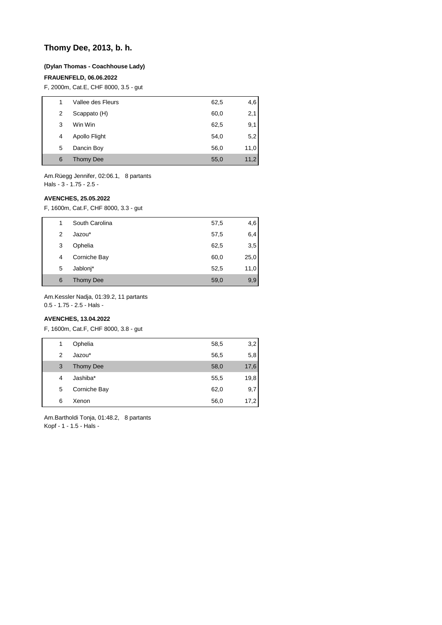## **Thomy Dee, 2013, b. h.**

### **(Dylan Thomas - Coachhouse Lady)**

### **FRAUENFELD, 06.06.2022**

F, 2000m, Cat.E, CHF 8000, 3.5 - gut

| 1 | Vallee des Fleurs | 62,5 | 4,6  |
|---|-------------------|------|------|
| 2 | Scappato (H)      | 60,0 | 2,1  |
| 3 | Win Win           | 62,5 | 9,1  |
| 4 | Apollo Flight     | 54,0 | 5,2  |
| 5 | Dancin Boy        | 56,0 | 11,0 |
| 6 | <b>Thomy Dee</b>  | 55,0 | 11,2 |
|   |                   |      |      |

Am.Rüegg Jennifer, 02:06.1, 8 partants Hals - 3 - 1.75 - 2.5 -

### **AVENCHES, 25.05.2022**

F, 1600m, Cat.F, CHF 8000, 3.3 - gut

| 1 | South Carolina   | 57,5 | 4,6  |
|---|------------------|------|------|
| 2 | Jazou*           | 57,5 | 6,4  |
| 3 | Ophelia          | 62,5 | 3,5  |
| 4 | Corniche Bay     | 60,0 | 25,0 |
| 5 | Jablonj*         | 52,5 | 11,0 |
| 6 | <b>Thomy Dee</b> | 59,0 | 9,9  |

Am.Kessler Nadja, 01:39.2, 11 partants

0.5 - 1.75 - 2.5 - Hals -

## **AVENCHES, 13.04.2022**

F, 1600m, Cat.F, CHF 8000, 3.8 - gut

| 1 | Ophelia          | 58,5 | 3,2  |
|---|------------------|------|------|
| 2 | Jazou*           | 56,5 | 5,8  |
| 3 | <b>Thomy Dee</b> | 58,0 | 17,6 |
| 4 | Jashiba*         | 55,5 | 19,8 |
| 5 | Corniche Bay     | 62,0 | 9,7  |
| 6 | Xenon            | 56,0 | 17,2 |

Am.Bartholdi Tonja, 01:48.2, 8 partants Kopf - 1 - 1.5 - Hals -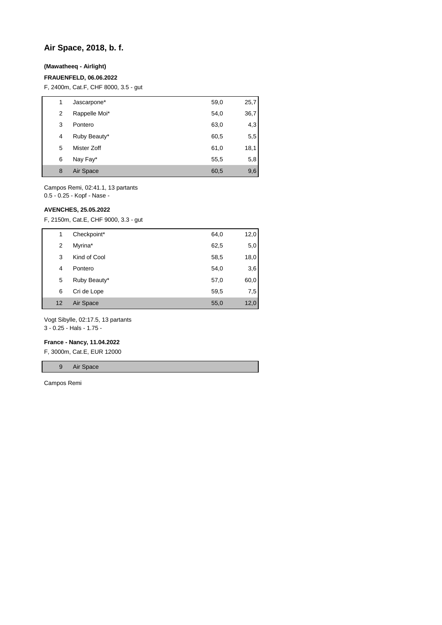## **Air Space, 2018, b. f.**

## **(Mawatheeq - Airlight)**

### **FRAUENFELD, 06.06.2022**

F, 2400m, Cat.F, CHF 8000, 3.5 - gut

| 1 | Jascarpone*   | 59,0 | 25,7 |
|---|---------------|------|------|
| 2 | Rappelle Moi* | 54,0 | 36,7 |
| 3 | Pontero       | 63,0 | 4,3  |
| 4 | Ruby Beauty*  | 60,5 | 5,5  |
| 5 | Mister Zoff   | 61,0 | 18,1 |
| 6 | Nay Fay*      | 55,5 | 5,8  |
| 8 | Air Space     | 60,5 | 9,6  |

Campos Remi, 02:41.1, 13 partants 0.5 - 0.25 - Kopf - Nase -

### **AVENCHES, 25.05.2022**

F, 2150m, Cat.E, CHF 9000, 3.3 - gut

| 1  | Checkpoint*  | 64,0 | 12,0 |
|----|--------------|------|------|
| 2  | Myrina*      | 62,5 | 5,0  |
| 3  | Kind of Cool | 58,5 | 18,0 |
| 4  | Pontero      | 54,0 | 3,6  |
| 5  | Ruby Beauty* | 57,0 | 60,0 |
| 6  | Cri de Lope  | 59,5 | 7,5  |
| 12 | Air Space    | 55,0 | 12,0 |

Vogt Sibylle, 02:17.5, 13 partants 3 - 0.25 - Hals - 1.75 -

#### **France - Nancy, 11.04.2022**

F, 3000m, Cat.E, EUR 12000

9 Air Space

Campos Remi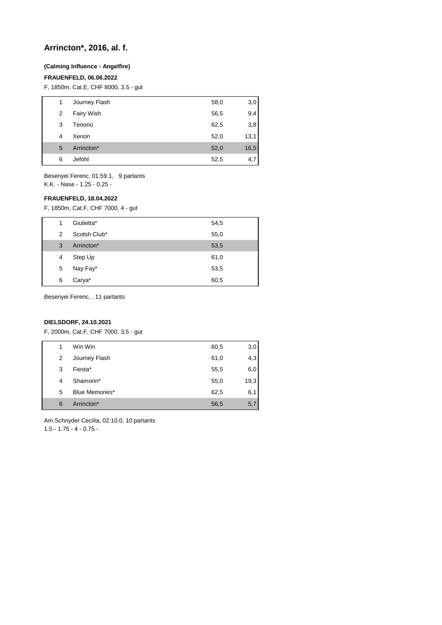## **Arrincton\*, 2016, al. f.**

### **(Calming Influence - Angelfire)**

### **FRAUENFELD, 06.06.2022**

F, 1850m, Cat.E, CHF 8000, 3.5 - gut

| 1 | Journey Flash | 58,0 | 3,0  |
|---|---------------|------|------|
| 2 | Fairy Wish    | 56,5 | 9,4  |
| 3 | Tenorio       | 62,5 | 3,8  |
| 4 | Xenon         | 52,0 | 13,1 |
| 5 | Arrincton*    | 52,0 | 16,5 |
| 6 | Jeföhl        | 52,5 | 4,7  |

Besenyei Ferenc, 01:59.1, 9 partants K.K. - Nase - 1.25 - 0.25 -

### **FRAUENFELD, 18.04.2022**

F, 1850m, Cat.F, CHF 7000, 4 - gut

| 1 | Giulietta*   | 54,5 |
|---|--------------|------|
| 2 | Scotsh Club* | 55,0 |
| 3 | Arrincton*   | 53,5 |
| 4 | Step Up      | 61,0 |
| 5 | Nay Fay*     | 53,5 |
| 6 | Carya*       | 60,5 |

Besenyei Ferenc, , 11 partants

## **DIELSDORF, 24.10.2021**

F, 2000m, Cat.F, CHF 7000, 3.5 - gut

| 1 | Win Win        | 60,5 | 3,0  |
|---|----------------|------|------|
| 2 | Journey Flash  | 61,0 | 4,3  |
| 3 | Fiesta*        | 55,5 | 6,0  |
| 4 | Shamorin*      | 55,0 | 19,3 |
| 5 | Blue Memories* | 62,5 | 6,1  |
| 6 | Arrincton*     | 56,5 | 5,7  |

Am.Schnyder Cecilia, 02:10.0, 10 partants 1.5 - 1.75 - 4 - 0.75 -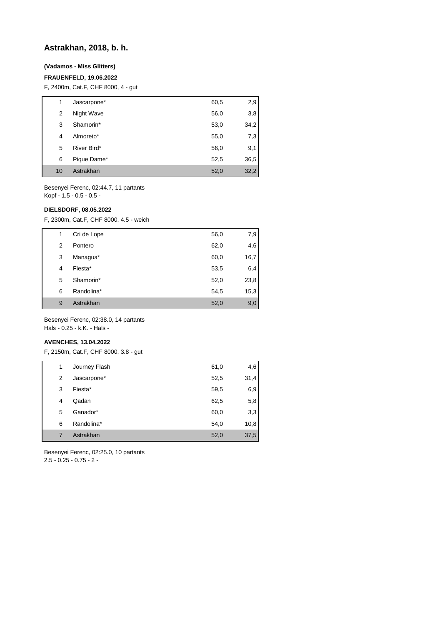## **Astrakhan, 2018, b. h.**

## **(Vadamos - Miss Glitters)**

## **FRAUENFELD, 19.06.2022**

F, 2400m, Cat.F, CHF 8000, 4 - gut

| 1  | Jascarpone* | 60,5 | 2,9  |
|----|-------------|------|------|
| 2  | Night Wave  | 56,0 | 3,8  |
| 3  | Shamorin*   | 53,0 | 34,2 |
| 4  | Almoreto*   | 55,0 | 7,3  |
| 5  | River Bird* | 56,0 | 9,1  |
| 6  | Pique Dame* | 52,5 | 36,5 |
| 10 | Astrakhan   | 52,0 | 32,2 |

Besenyei Ferenc, 02:44.7, 11 partants Kopf - 1.5 - 0.5 - 0.5 -

## **DIELSDORF, 08.05.2022**

F, 2300m, Cat.F, CHF 8000, 4.5 - weich

| 1 | Cri de Lope | 56,0 | 7,9  |
|---|-------------|------|------|
| 2 | Pontero     | 62,0 | 4,6  |
| 3 | Managua*    | 60,0 | 16,7 |
| 4 | Fiesta*     | 53,5 | 6,4  |
| 5 | Shamorin*   | 52,0 | 23,8 |
| 6 | Randolina*  | 54,5 | 15,3 |
| 9 | Astrakhan   | 52,0 | 9,0  |

Besenyei Ferenc, 02:38.0, 14 partants Hals - 0.25 - k.K. - Hals -

### **AVENCHES, 13.04.2022**

F, 2150m, Cat.F, CHF 8000, 3.8 - gut

| 1 | Journey Flash | 61,0 | 4,6  |
|---|---------------|------|------|
| 2 | Jascarpone*   | 52,5 | 31,4 |
| 3 | Fiesta*       | 59,5 | 6,9  |
| 4 | Qadan         | 62,5 | 5,8  |
| 5 | Ganador*      | 60,0 | 3,3  |
| 6 | Randolina*    | 54,0 | 10,8 |
| 7 | Astrakhan     | 52,0 | 37,5 |

Besenyei Ferenc, 02:25.0, 10 partants 2.5 - 0.25 - 0.75 - 2 -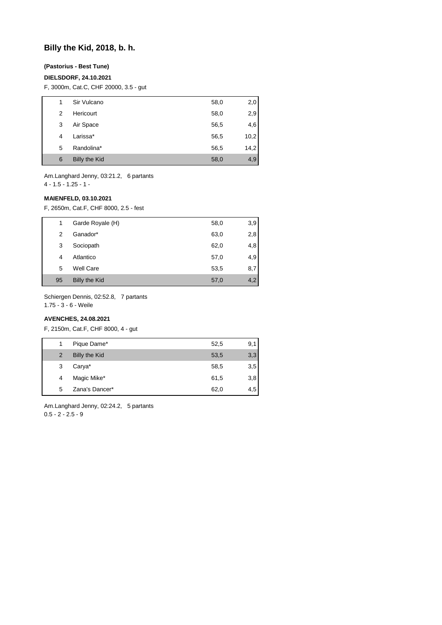## **Billy the Kid, 2018, b. h.**

## **(Pastorius - Best Tune)**

### **DIELSDORF, 24.10.2021**

F, 3000m, Cat.C, CHF 20000, 3.5 - gut

| 1 | Sir Vulcano          | 58,0 | 2,0  |
|---|----------------------|------|------|
| 2 | Hericourt            | 58,0 | 2,9  |
| 3 | Air Space            | 56,5 | 4,6  |
| 4 | Larissa*             | 56,5 | 10,2 |
| 5 | Randolina*           | 56,5 | 14,2 |
| 6 | <b>Billy the Kid</b> | 58,0 | 4,9  |

Am.Langhard Jenny, 03:21.2, 6 partants 4 - 1.5 - 1.25 - 1 -

### **MAIENFELD, 03.10.2021**

F, 2650m, Cat.F, CHF 8000, 2.5 - fest

| 1  | Garde Royale (H)     | 58,0 | 3,9 |
|----|----------------------|------|-----|
| 2  | Ganador*             | 63,0 | 2,8 |
| 3  | Sociopath            | 62,0 | 4,8 |
| 4  | Atlantico            | 57,0 | 4,9 |
| 5  | Well Care            | 53,5 | 8,7 |
| 95 | <b>Billy the Kid</b> | 57,0 | 4,2 |

Schiergen Dennis, 02:52.8, 7 partants

1.75 - 3 - 6 - Weile

## **AVENCHES, 24.08.2021**

F, 2150m, Cat.F, CHF 8000, 4 - gut

|               | Pique Dame*    | 52,5 | 9,1 |
|---------------|----------------|------|-----|
| $\mathcal{P}$ | Billy the Kid  | 53,5 | 3,3 |
| 3             | Carya*         | 58,5 | 3,5 |
| 4             | Magic Mike*    | 61,5 | 3,8 |
| 5             | Zana's Dancer* | 62,0 | 4,5 |

Am.Langhard Jenny, 02:24.2, 5 partants  $0.5 - 2 - 2.5 - 9$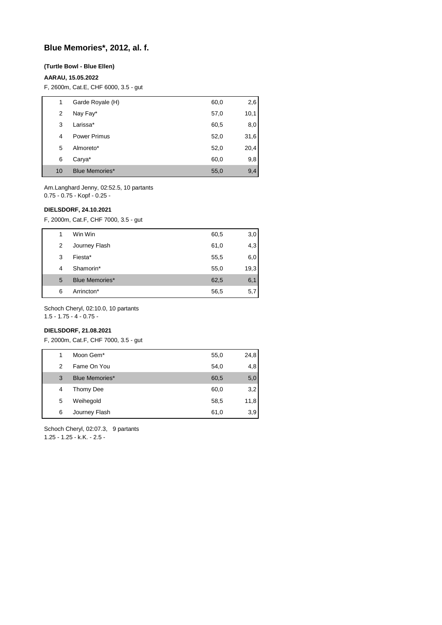## **Blue Memories\*, 2012, al. f.**

### **(Turtle Bowl - Blue Ellen)**

## **AARAU, 15.05.2022**

F, 2600m, Cat.E, CHF 6000, 3.5 - gut

| 1  | Garde Royale (H)      | 60,0 | 2,6  |
|----|-----------------------|------|------|
| 2  | Nay Fay*              | 57,0 | 10,1 |
| 3  | Larissa*              | 60,5 | 8,0  |
| 4  | <b>Power Primus</b>   | 52,0 | 31,6 |
| 5  | Almoreto*             | 52,0 | 20,4 |
| 6  | Carya*                | 60,0 | 9,8  |
| 10 | <b>Blue Memories*</b> | 55,0 | 9,4  |

Am.Langhard Jenny, 02:52.5, 10 partants 0.75 - 0.75 - Kopf - 0.25 -

### **DIELSDORF, 24.10.2021**

F, 2000m, Cat.F, CHF 7000, 3.5 - gut

| 1 | Win Win               | 60,5 | 3,0  |
|---|-----------------------|------|------|
| 2 | Journey Flash         | 61,0 | 4,3  |
| 3 | Fiesta*               | 55,5 | 6,0  |
| 4 | Shamorin*             | 55,0 | 19,3 |
| 5 | <b>Blue Memories*</b> | 62,5 | 6,1  |
| 6 | Arrincton*            | 56,5 | 5,7  |

Schoch Cheryl, 02:10.0, 10 partants

1.5 - 1.75 - 4 - 0.75 -

## **DIELSDORF, 21.08.2021**

F, 2000m, Cat.F, CHF 7000, 3.5 - gut

| 1 | Moon Gem*             | 55,0 | 24,8 |
|---|-----------------------|------|------|
| 2 | Fame On You           | 54,0 | 4,8  |
| 3 | <b>Blue Memories*</b> | 60,5 | 5,0  |
| 4 | Thomy Dee             | 60,0 | 3,2  |
| 5 | Weihegold             | 58,5 | 11,8 |
| 6 | Journey Flash         | 61,0 | 3,9  |
|   |                       |      |      |

Schoch Cheryl, 02:07.3, 9 partants 1.25 - 1.25 - k.K. - 2.5 -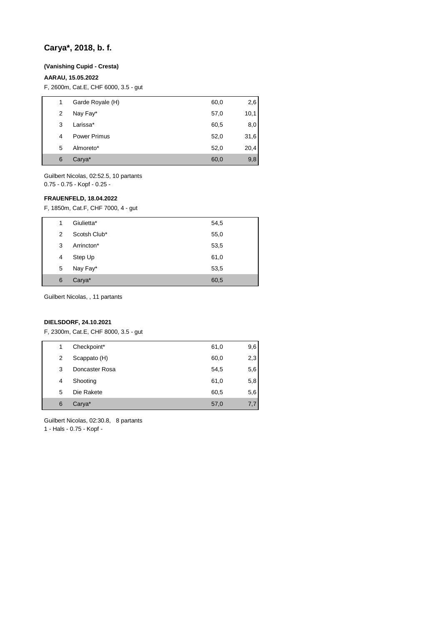## **Carya\*, 2018, b. f.**

### **(Vanishing Cupid - Cresta)**

## **AARAU, 15.05.2022**

F, 2600m, Cat.E, CHF 6000, 3.5 - gut

| 1 | Garde Royale (H)    | 60,0 | 2,6  |
|---|---------------------|------|------|
| 2 | Nay Fay*            | 57,0 | 10,1 |
| 3 | Larissa*            | 60,5 | 8,0  |
| 4 | <b>Power Primus</b> | 52,0 | 31,6 |
| 5 | Almoreto*           | 52,0 | 20,4 |
| 6 | Carya*              | 60,0 | 9,8  |

Guilbert Nicolas, 02:52.5, 10 partants 0.75 - 0.75 - Kopf - 0.25 -

### **FRAUENFELD, 18.04.2022**

F, 1850m, Cat.F, CHF 7000, 4 - gut

| 1 | Giulietta*   | 54,5 |
|---|--------------|------|
| 2 | Scotsh Club* | 55,0 |
| 3 | Arrincton*   | 53,5 |
| 4 | Step Up      | 61,0 |
| 5 | Nay Fay*     | 53,5 |
| 6 | Carya*       | 60,5 |

Guilbert Nicolas, , 11 partants

## **DIELSDORF, 24.10.2021**

F, 2300m, Cat.E, CHF 8000, 3.5 - gut

| 1 | Checkpoint*    | 61,0 | 9,6 |
|---|----------------|------|-----|
| 2 | Scappato (H)   | 60,0 | 2,3 |
| 3 | Doncaster Rosa | 54,5 | 5,6 |
| 4 | Shooting       | 61,0 | 5,8 |
| 5 | Die Rakete     | 60,5 | 5,6 |
| 6 | Carya*         | 57,0 | 7.7 |

Guilbert Nicolas, 02:30.8, 8 partants 1 - Hals - 0.75 - Kopf -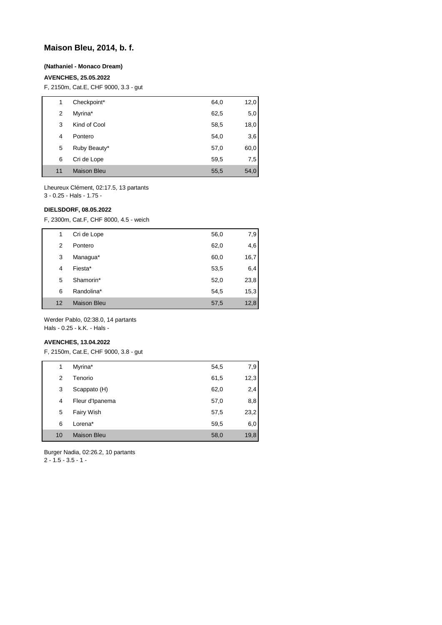## **Maison Bleu, 2014, b. f.**

### **(Nathaniel - Monaco Dream)**

### **AVENCHES, 25.05.2022**

F, 2150m, Cat.E, CHF 9000, 3.3 - gut

| 1  | Checkpoint*        | 64,0 | 12,0 |
|----|--------------------|------|------|
| 2  | Myrina*            | 62,5 | 5,0  |
| 3  | Kind of Cool       | 58,5 | 18,0 |
| 4  | Pontero            | 54,0 | 3,6  |
| 5  | Ruby Beauty*       | 57,0 | 60,0 |
| 6  | Cri de Lope        | 59,5 | 7,5  |
| 11 | <b>Maison Bleu</b> | 55,5 | 54,0 |

Lheureux Clément, 02:17.5, 13 partants 3 - 0.25 - Hals - 1.75 -

### **DIELSDORF, 08.05.2022**

F, 2300m, Cat.F, CHF 8000, 4.5 - weich

| 1  | Cri de Lope        | 56,0 | 7,9  |
|----|--------------------|------|------|
| 2  | Pontero            | 62,0 | 4,6  |
| 3  | Managua*           | 60,0 | 16,7 |
| 4  | Fiesta*            | 53,5 | 6,4  |
| 5  | Shamorin*          | 52,0 | 23,8 |
| 6  | Randolina*         | 54,5 | 15,3 |
| 12 | <b>Maison Bleu</b> | 57,5 | 12,8 |

Werder Pablo, 02:38.0, 14 partants Hals - 0.25 - k.K. - Hals -

### **AVENCHES, 13.04.2022**

F, 2150m, Cat.E, CHF 9000, 3.8 - gut

| 1  | Myrina*            | 54,5 | 7,9  |
|----|--------------------|------|------|
| 2  | Tenorio            | 61,5 | 12,3 |
| 3  | Scappato (H)       | 62,0 | 2,4  |
| 4  | Fleur d'Ipanema    | 57,0 | 8,8  |
| 5  | Fairy Wish         | 57,5 | 23,2 |
| 6  | Lorena*            | 59,5 | 6,0  |
| 10 | <b>Maison Bleu</b> | 58,0 | 19,8 |

Burger Nadia, 02:26.2, 10 partants

 $2 - 1.5 - 3.5 - 1 -$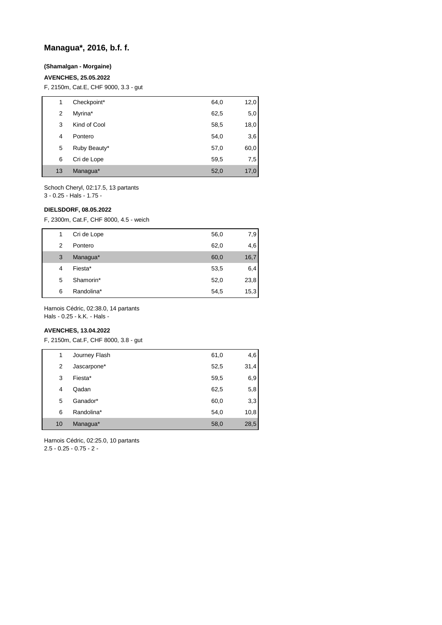## **Managua\*, 2016, b.f. f.**

## **(Shamalgan - Morgaine)**

### **AVENCHES, 25.05.2022**

F, 2150m, Cat.E, CHF 9000, 3.3 - gut

| 1  | Checkpoint*  | 64,0 | 12,0 |
|----|--------------|------|------|
| 2  | Myrina*      | 62,5 | 5,0  |
| 3  | Kind of Cool | 58,5 | 18,0 |
| 4  | Pontero      | 54,0 | 3,6  |
| 5  | Ruby Beauty* | 57,0 | 60,0 |
| 6  | Cri de Lope  | 59,5 | 7,5  |
| 13 | Managua*     | 52,0 | 17,0 |

Schoch Cheryl, 02:17.5, 13 partants 3 - 0.25 - Hals - 1.75 -

### **DIELSDORF, 08.05.2022**

F, 2300m, Cat.F, CHF 8000, 4.5 - weich

| 1 | Cri de Lope | 56,0 | 7,9  |
|---|-------------|------|------|
| 2 | Pontero     | 62,0 | 4,6  |
| 3 | Managua*    | 60,0 | 16,7 |
| 4 | Fiesta*     | 53,5 | 6,4  |
| 5 | Shamorin*   | 52,0 | 23,8 |
| 6 | Randolina*  | 54,5 | 15,3 |

Harnois Cédric, 02:38.0, 14 partants

Hals - 0.25 - k.K. - Hals -

## **AVENCHES, 13.04.2022**

F, 2150m, Cat.F, CHF 8000, 3.8 - gut

| 1  | Journey Flash | 61,0 | 4,6  |
|----|---------------|------|------|
| 2  | Jascarpone*   | 52,5 | 31,4 |
| 3  | Fiesta*       | 59,5 | 6,9  |
| 4  | Qadan         | 62,5 | 5,8  |
| 5  | Ganador*      | 60,0 | 3,3  |
| 6  | Randolina*    | 54,0 | 10,8 |
| 10 | Managua*      | 58,0 | 28,5 |

Harnois Cédric, 02:25.0, 10 partants 2.5 - 0.25 - 0.75 - 2 -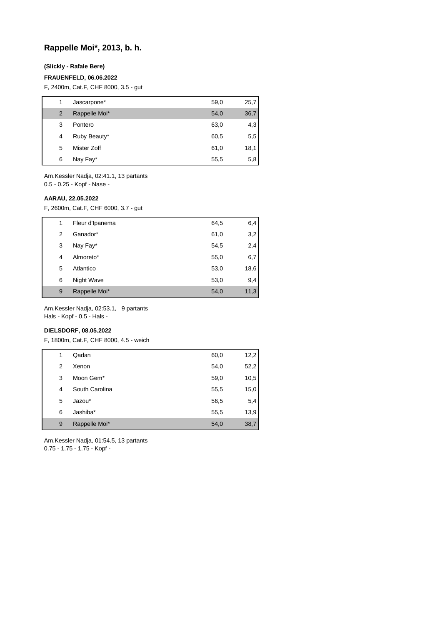## **Rappelle Moi\*, 2013, b. h.**

### **(Slickly - Rafale Bere)**

### **FRAUENFELD, 06.06.2022**

F, 2400m, Cat.F, CHF 8000, 3.5 - gut

| 1 | Jascarpone*   | 59,0 | 25,7 |
|---|---------------|------|------|
| 2 | Rappelle Moi* | 54,0 | 36,7 |
| 3 | Pontero       | 63,0 | 4,3  |
| 4 | Ruby Beauty*  | 60,5 | 5,5  |
| 5 | Mister Zoff   | 61,0 | 18,1 |
| 6 | Nay Fay*      | 55,5 | 5,8  |

Am.Kessler Nadja, 02:41.1, 13 partants 0.5 - 0.25 - Kopf - Nase -

#### **AARAU, 22.05.2022**

F, 2600m, Cat.F, CHF 6000, 3.7 - gut

| 1 | Fleur d'Ipanema | 64,5 | 6,4  |
|---|-----------------|------|------|
| 2 | Ganador*        | 61,0 | 3,2  |
| 3 | Nay Fay*        | 54,5 | 2,4  |
| 4 | Almoreto*       | 55,0 | 6,7  |
| 5 | Atlantico       | 53,0 | 18,6 |
| 6 | Night Wave      | 53,0 | 9,4  |
| 9 | Rappelle Moi*   | 54,0 | 11,3 |

Am.Kessler Nadja, 02:53.1, 9 partants Hals - Kopf - 0.5 - Hals -

## **DIELSDORF, 08.05.2022**

F, 1800m, Cat.F, CHF 8000, 4.5 - weich

| 1 | Qadan          | 60,0 | 12,2 |
|---|----------------|------|------|
| 2 | Xenon          | 54,0 | 52,2 |
| 3 | Moon Gem*      | 59,0 | 10,5 |
| 4 | South Carolina | 55,5 | 15,0 |
| 5 | Jazou*         | 56,5 | 5,4  |
| 6 | Jashiba*       | 55,5 | 13,9 |
| 9 | Rappelle Moi*  | 54,0 | 38,7 |

Am.Kessler Nadja, 01:54.5, 13 partants 0.75 - 1.75 - 1.75 - Kopf -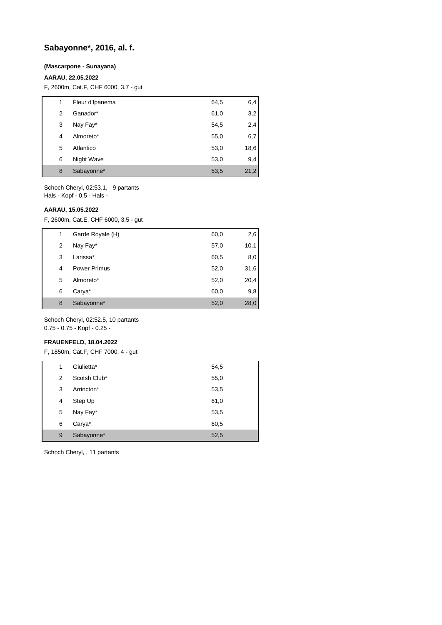## **Sabayonne\*, 2016, al. f.**

#### **(Mascarpone - Sunayana)**

## **AARAU, 22.05.2022**

F, 2600m, Cat.F, CHF 6000, 3.7 - gut

| 1 | Fleur d'Ipanema | 64,5 | 6,4  |
|---|-----------------|------|------|
| 2 | Ganador*        | 61,0 | 3,2  |
| 3 | Nay Fay*        | 54,5 | 2,4  |
| 4 | Almoreto*       | 55,0 | 6,7  |
| 5 | Atlantico       | 53,0 | 18,6 |
| 6 | Night Wave      | 53,0 | 9,4  |
| 8 | Sabayonne*      | 53,5 | 21,2 |

Schoch Cheryl, 02:53.1, 9 partants Hals - Kopf - 0.5 - Hals -

#### **AARAU, 15.05.2022**

F, 2600m, Cat.E, CHF 6000, 3.5 - gut

| 1 | Garde Royale (H) | 60,0 | 2,6  |
|---|------------------|------|------|
| 2 | Nay Fay*         | 57,0 | 10,1 |
| 3 | Larissa*         | 60,5 | 8,0  |
| 4 | Power Primus     | 52,0 | 31,6 |
| 5 | Almoreto*        | 52,0 | 20,4 |
| 6 | Carya*           | 60,0 | 9,8  |
| 8 | Sabayonne*       | 52,0 | 28,0 |

Schoch Cheryl, 02:52.5, 10 partants 0.75 - 0.75 - Kopf - 0.25 -

#### **FRAUENFELD, 18.04.2022**

F, 1850m, Cat.F, CHF 7000, 4 - gut

| 1 | Giulietta*   | 54,5 |
|---|--------------|------|
| 2 | Scotsh Club* | 55,0 |
| 3 | Arrincton*   | 53,5 |
| 4 | Step Up      | 61,0 |
| 5 | Nay Fay*     | 53,5 |
| 6 | Carya*       | 60,5 |
| 9 | Sabayonne*   | 52,5 |

Schoch Cheryl, , 11 partants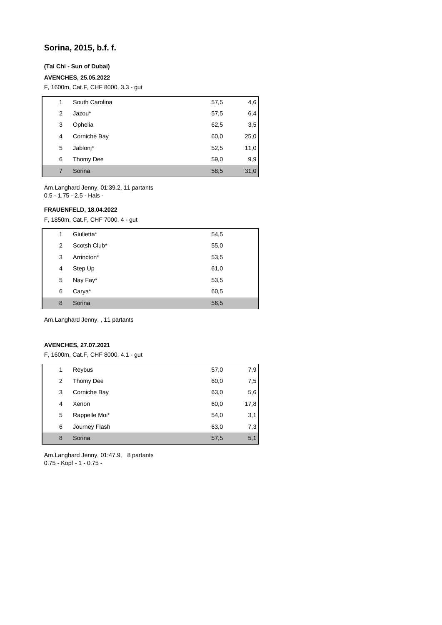## **Sorina, 2015, b.f. f.**

## **(Tai Chi - Sun of Dubai)**

## **AVENCHES, 25.05.2022**

F, 1600m, Cat.F, CHF 8000, 3.3 - gut

| 1 |   | South Carolina | 57,5 | 4,6  |
|---|---|----------------|------|------|
|   | 2 | Jazou*         | 57,5 | 6,4  |
|   | 3 | Ophelia        | 62,5 | 3,5  |
|   | 4 | Corniche Bay   | 60,0 | 25,0 |
|   | 5 | Jablonj*       | 52,5 | 11,0 |
|   | 6 | Thomy Dee      | 59,0 | 9,9  |
|   | 7 | Sorina         | 58,5 | 31,0 |

Am.Langhard Jenny, 01:39.2, 11 partants 0.5 - 1.75 - 2.5 - Hals -

## **FRAUENFELD, 18.04.2022**

F, 1850m, Cat.F, CHF 7000, 4 - gut

| Giulietta*<br>1<br>54,5   |  |
|---------------------------|--|
| Scotsh Club*<br>55,0<br>2 |  |
| Arrincton*<br>3<br>53,5   |  |
| Step Up<br>61,0<br>4      |  |
| Nay Fay*<br>53,5<br>5     |  |
| Carya*<br>6<br>60,5       |  |
| Sorina<br>8<br>56,5       |  |

Am.Langhard Jenny, , 11 partants

## **AVENCHES, 27.07.2021**

F, 1600m, Cat.F, CHF 8000, 4.1 - gut

| 1 | Reybus        | 57,0 | 7,9  |
|---|---------------|------|------|
| 2 | Thomy Dee     | 60,0 | 7,5  |
| 3 | Corniche Bay  | 63,0 | 5,6  |
| 4 | Xenon         | 60,0 | 17,8 |
| 5 | Rappelle Moi* | 54,0 | 3,1  |
| 6 | Journey Flash | 63,0 | 7,3  |
| 8 | Sorina        | 57,5 | 5,1  |

Am.Langhard Jenny, 01:47.9, 8 partants 0.75 - Kopf - 1 - 0.75 -